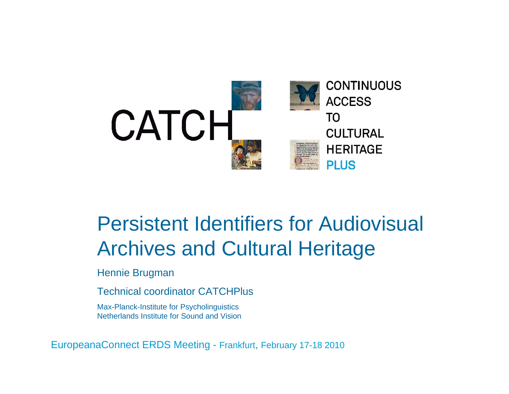

### Persistent Identifiers for Audiovisual Archives and Cultural Heritage

Hennie Brugman

Technical coordinator CATCHPlus

Max-Planck-Institute for Psycholinguistics Netherlands Institute for Sound and Vision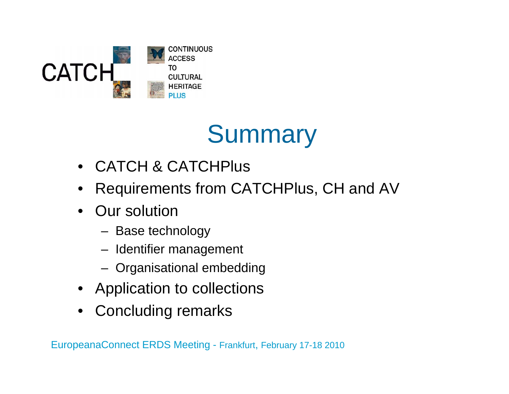

## **Summary**

- CATCH & CATCHPlus
- •Requirements from CATCHPlus, CH and AV
- Our solution
	- Base technology
	- Identifier management
	- Organisational embedding
- Application to collections
- •Concluding remarks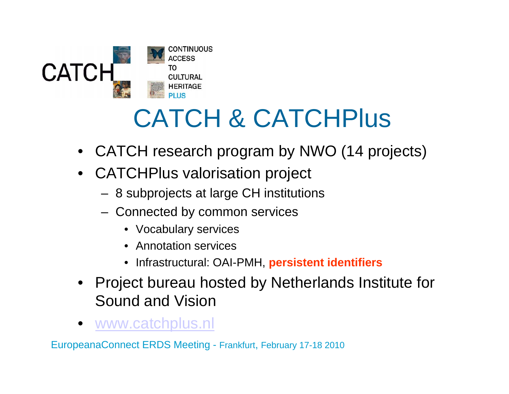

# CATCH & CATCHPlus

- $\bullet$ CATCH research program by NWO (14 projects)
- • CATCHPlus valorisation project
	- 8 subprojects at large CH institutions
	- Connected by common services
		- Vocabulary services
		- Annotation services
		- Infrastructural: OAI-PMH, **persistent identifiers**
- Project bureau hosted by Netherlands Institute for Sound and Vision
- •www.catchplus.nl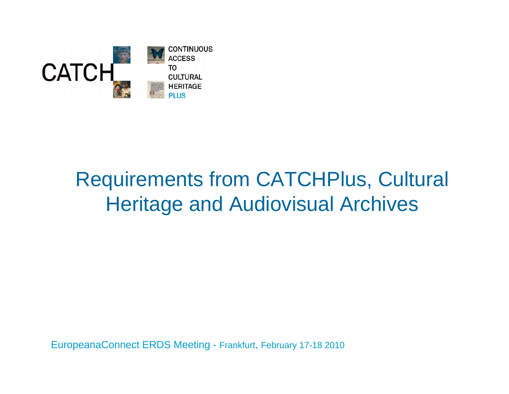

### Requirements from CATCHPlus, Cultural Heritage and Audiovisual Archives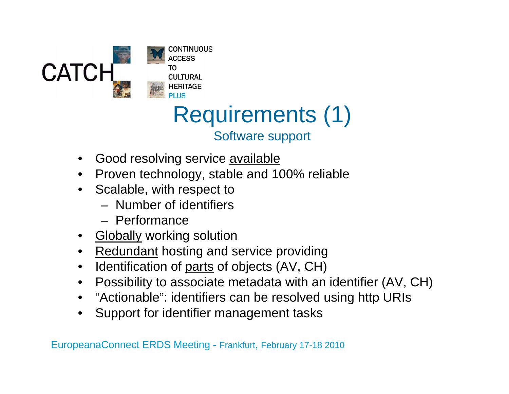

#### Requirements (1) Software support

- •Good resolving service **available**
- Proven technology, stable and 100% reliable
- Scalable, with respect to
	- Number of identifiers
	- Performance
- <u>Globally</u> working solution
- Redundant hosting and service providing
- $\bullet$ Identification of <u>parts</u> of objects (AV, CH)
- $\bullet$ Possibility to associate metadata with an identifier (AV, CH)
- "Actionable": identifiers can be resolved using http URIs
- Support for identifier management tasks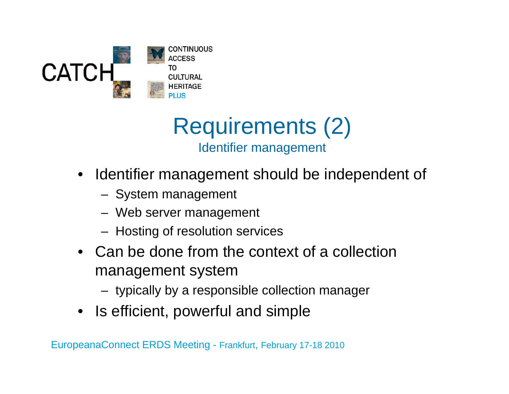



- $\bullet$  Identifier management should be independent of
	- System management
	- Web server management
	- Hosting of resolution services
- Can be done from the context of a collection management system
	- typically by a responsible collection manager
- Is efficient, powerful and simple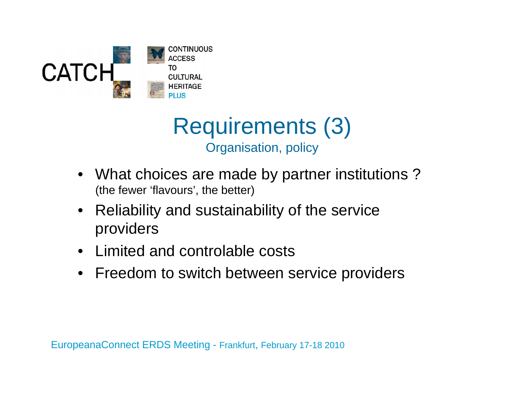



- What choices are made by partner institutions ? (the fewer 'flavours', the better)
- $\bullet$  Reliability and sustainability of the service providers
- Limited and controlable costs
- Freedom to switch between service providers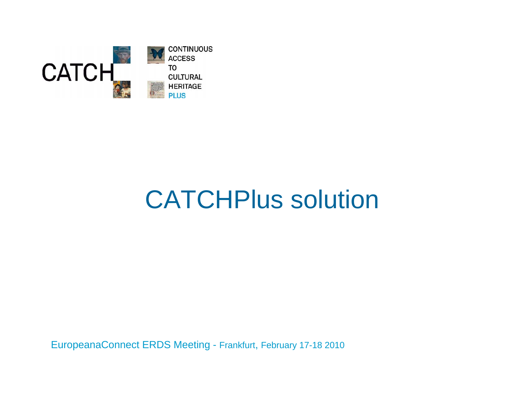

## CATCHPlus solution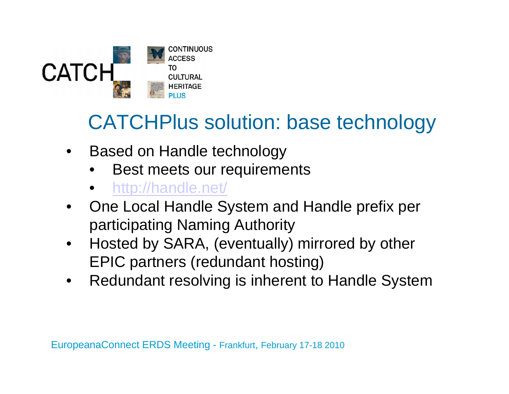

### CATCHPlus solution: base technology

- $\bullet$  Based on Handle technology
	- •Best meets our requirements
	- http://handle.net/
- • One Local Handle System and Handle prefix per participating Naming Authority
- $\bullet$  Hosted by SARA, (eventually) mirrored by other EPIC partners (redundant hosting)
- •Redundant resolving is inherent to Handle System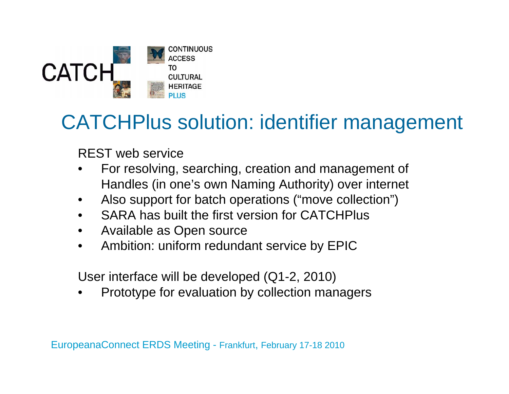

#### CATCHPlus solution: identifier management

REST web service

- • For resolving, searching, creation and management of Handles (in one's own Naming Authority) over internet
- •Also support for batch operations ("move collection")
- •SARA has built the first version for CATCHPlus
- •Available as Open source
- $\bullet$ Ambition: uniform redundant service by EPIC

User interface will be developed (Q1-2, 2010)

•Prototype for evaluation by collection managers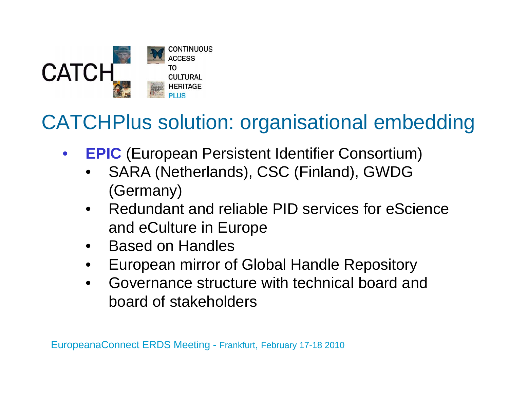

### CATCHPlus solution: organisational embedding

- $\bullet$ **• EPIC** (European Persistent Identifier Consortium)
	- • SARA (Netherlands), CSC (Finland), GWDG (Germany)
	- • Redundant and reliable PID services for eScience and eCulture in Europe
	- •Based on Handles
	- •European mirror of Global Handle Repository
	- • Governance structure with technical board and board of stakeholders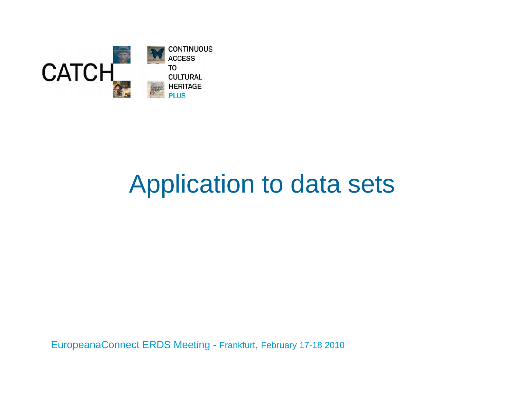

### Application to data sets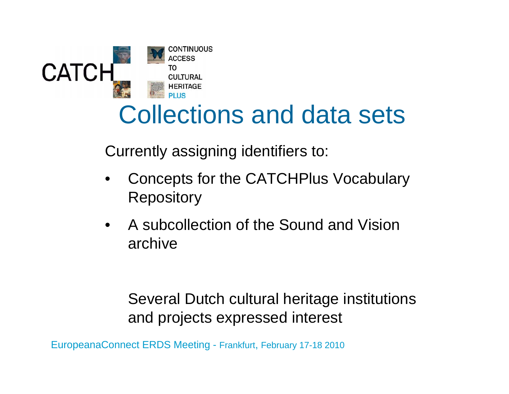

### Collections and data sets

Currently assigning identifiers to:

- • Concepts for the CATCHPlus Vocabulary **Repository**
- $\bullet$  A subcollection of the Sound and Vision archive

#### Several Dutch cultural heritage institutions and projects expressed interest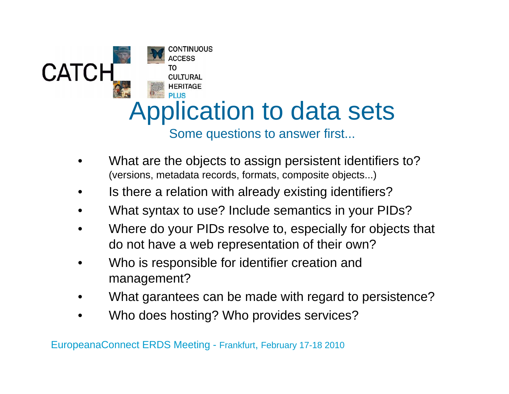

- • What are the objects to assign persistent identifiers to? (versions, metadata records, formats, composite objects...)
- •Is there a relation with already existing identifiers?
- •What syntax to use? Include semantics in your PIDs?
- • Where do your PIDs resolve to, especially for objects that do not have a web representation of their own?
- • Who is responsible for identifier creation and management?
- •What garantees can be made with regard to persistence?
- •Who does hosting? Who provides services?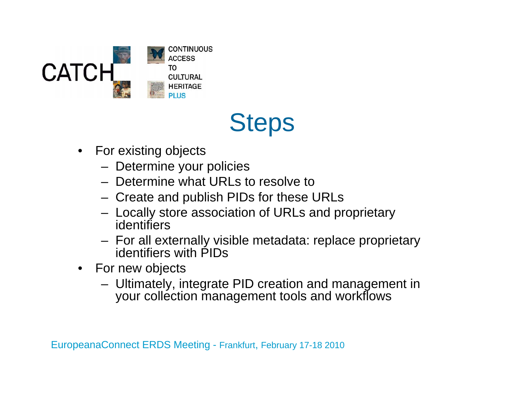

### **Steps**

- $\bullet$  For existing objects
	- Determine your policies
	- Determine what URLs to resolve to
	- Create and publish PIDs for these URLs
	- Locally store association of URLs and proprietary identifiers
	- For all externally visible metadata: replace proprietary identifiers with PIDs
- For new objects
	- Ultimately, integrate PID creation and management in your collection management tools and workflows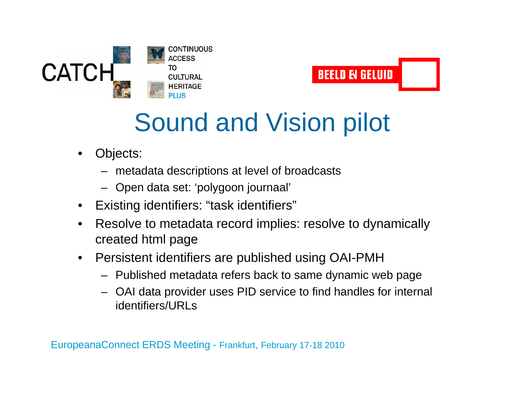



### Sound and Vision pilot

- • Objects:
	- metadata descriptions at level of broadcasts
	- Open data set: 'polygoon journaal'
- $\bullet$ Existing identifiers: "task identifiers"
- $\bullet$  Resolve to metadata record implies: resolve to dynamically created html page
- $\bullet$  Persistent identifiers are published using OAI-PMH
	- Published metadata refers back to same dynamic web page
	- OAI data provider uses PID service to find handles for internal identifiers/URLs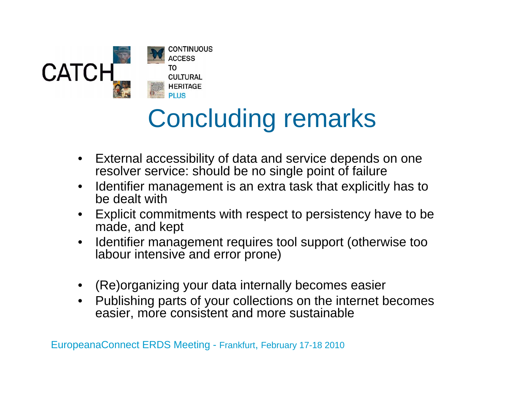

## Concluding remarks

- $\bullet$  External accessibility of data and service depends on one resolver service: should be no single point of failure
- $\bullet$  Identifier management is an extra task that explicitly has to be dealt with
- $\bullet$  Explicit commitments with respect to persistency have to be made, and kept
- $\bullet$  Identifier management requires tool support (otherwise too labour intensive and error prone)
- •(Re)organizing your data internally becomes easier
- $\bullet$  Publishing parts of your collections on the internet becomes easier, more consistent and more sustainable